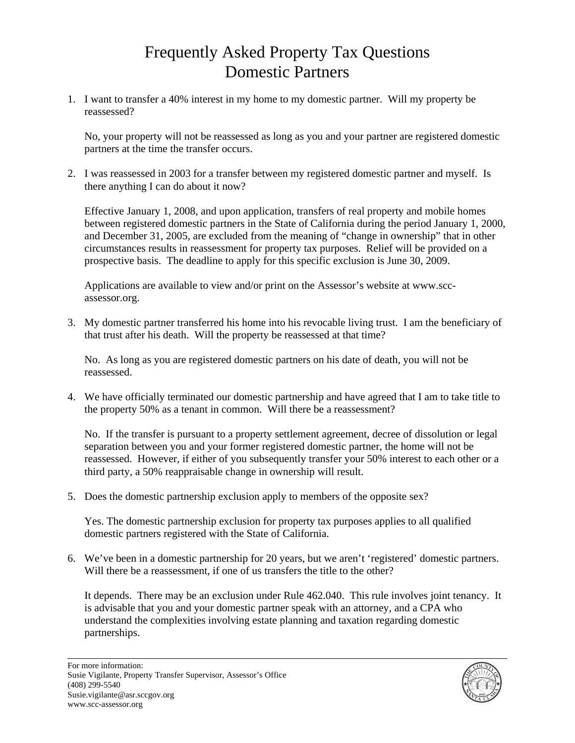## Frequently Asked Property Tax Questions Domestic Partners

1. I want to transfer a 40% interest in my home to my domestic partner. Will my property be reassessed?

No, your property will not be reassessed as long as you and your partner are registered domestic partners at the time the transfer occurs.

2. I was reassessed in 2003 for a transfer between my registered domestic partner and myself. Is there anything I can do about it now?

Effective January 1, 2008, and upon application, transfers of real property and mobile homes between registered domestic partners in the State of California during the period January 1, 2000, and December 31, 2005, are excluded from the meaning of "change in ownership" that in other circumstances results in reassessment for property tax purposes. Relief will be provided on a prospective basis. The deadline to apply for this specific exclusion is June 30, 2009.

Applications are available to view and/or print on the Assessor's website at www.sccassessor.org.

3. My domestic partner transferred his home into his revocable living trust. I am the beneficiary of that trust after his death. Will the property be reassessed at that time?

No. As long as you are registered domestic partners on his date of death, you will not be reassessed.

4. We have officially terminated our domestic partnership and have agreed that I am to take title to the property 50% as a tenant in common. Will there be a reassessment?

No. If the transfer is pursuant to a property settlement agreement, decree of dissolution or legal separation between you and your former registered domestic partner, the home will not be reassessed. However, if either of you subsequently transfer your 50% interest to each other or a third party, a 50% reappraisable change in ownership will result.

5. Does the domestic partnership exclusion apply to members of the opposite sex?

Yes. The domestic partnership exclusion for property tax purposes applies to all qualified domestic partners registered with the State of California.

6. We've been in a domestic partnership for 20 years, but we aren't 'registered' domestic partners. Will there be a reassessment, if one of us transfers the title to the other?

It depends. There may be an exclusion under Rule 462.040. This rule involves joint tenancy. It is advisable that you and your domestic partner speak with an attorney, and a CPA who understand the complexities involving estate planning and taxation regarding domestic partnerships.